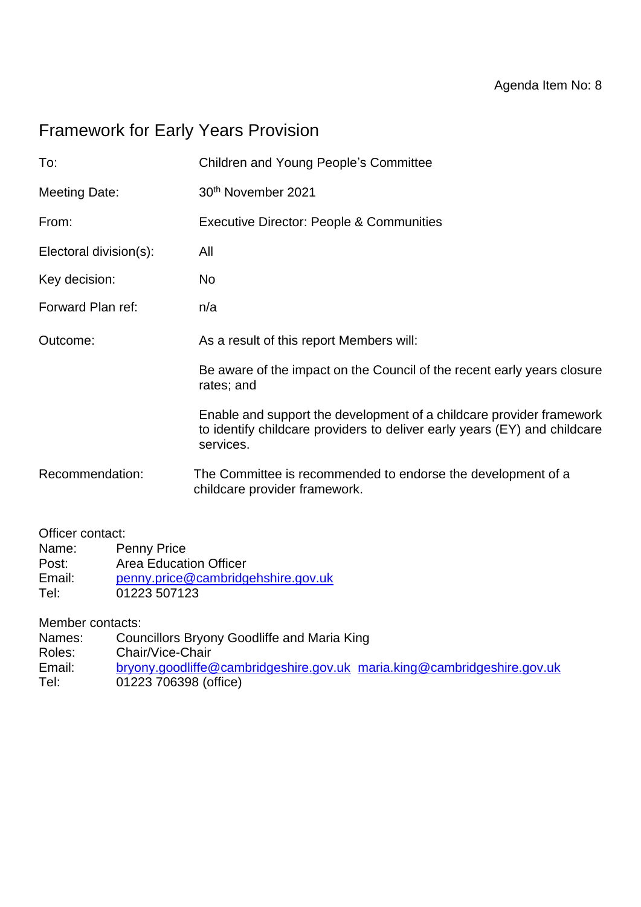# Framework for Early Years Provision

| To:                                             | <b>Children and Young People's Committee</b>                                                                                                                   |
|-------------------------------------------------|----------------------------------------------------------------------------------------------------------------------------------------------------------------|
| <b>Meeting Date:</b>                            | 30th November 2021                                                                                                                                             |
| From:                                           | <b>Executive Director: People &amp; Communities</b>                                                                                                            |
| Electoral division(s):                          | All                                                                                                                                                            |
| Key decision:                                   | <b>No</b>                                                                                                                                                      |
| Forward Plan ref:                               | n/a                                                                                                                                                            |
| Outcome:                                        | As a result of this report Members will:                                                                                                                       |
|                                                 | Be aware of the impact on the Council of the recent early years closure<br>rates; and                                                                          |
|                                                 | Enable and support the development of a childcare provider framework<br>to identify childcare providers to deliver early years (EY) and childcare<br>services. |
| Recommendation:                                 | The Committee is recommended to endorse the development of a<br>childcare provider framework.                                                                  |
| Officer contact:<br><b>Penny Price</b><br>Name: |                                                                                                                                                                |

Post: Area Education Officer Email: [penny.price@cambridgehshire.gov.uk](mailto:penny.price@cambridgehshire.gov.uk) Tel: 01223 507123

Member contacts:

Names: Councillors Bryony Goodliffe and Maria King

- Roles: Chair/Vice-Chair
- Email: [bryony.goodliffe@cambridgeshire.gov.uk](mailto:bryony.goodliffe@cambridgeshire.gov.uk) [maria.king@cambridgeshire.gov.uk](mailto:maria.king@cambridgeshire.gov.uk)
- Tel: 01223 706398 (office)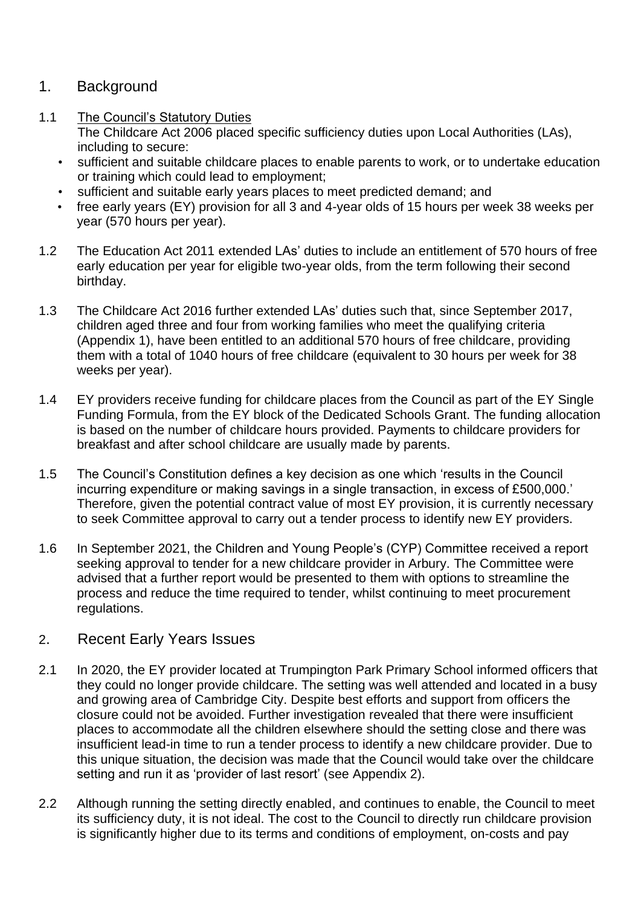#### 1. Background

1.1 The Council's Statutory Duties

The Childcare Act 2006 placed specific sufficiency duties upon Local Authorities (LAs), including to secure:

- sufficient and suitable childcare places to enable parents to work, or to undertake education or training which could lead to employment;
- sufficient and suitable early years places to meet predicted demand; and
- free early years (EY) provision for all 3 and 4-year olds of 15 hours per week 38 weeks per year (570 hours per year).
- 1.2 The Education Act 2011 extended LAs' duties to include an entitlement of 570 hours of free early education per year for eligible two-year olds, from the term following their second birthday.
- 1.3 The Childcare Act 2016 further extended LAs' duties such that, since September 2017, children aged three and four from working families who meet the qualifying criteria (Appendix 1), have been entitled to an additional 570 hours of free childcare, providing them with a total of 1040 hours of free childcare (equivalent to 30 hours per week for 38 weeks per year).
- 1.4 EY providers receive funding for childcare places from the Council as part of the EY Single Funding Formula, from the EY block of the Dedicated Schools Grant. The funding allocation is based on the number of childcare hours provided. Payments to childcare providers for breakfast and after school childcare are usually made by parents.
- 1.5 The Council's Constitution defines a key decision as one which 'results in the Council incurring expenditure or making savings in a single transaction, in excess of £500,000.' Therefore, given the potential contract value of most EY provision, it is currently necessary to seek Committee approval to carry out a tender process to identify new EY providers.
- 1.6 In September 2021, the Children and Young People's (CYP) Committee received a report seeking approval to tender for a new childcare provider in Arbury. The Committee were advised that a further report would be presented to them with options to streamline the process and reduce the time required to tender, whilst continuing to meet procurement regulations.

#### 2. Recent Early Years Issues

- 2.1 In 2020, the EY provider located at Trumpington Park Primary School informed officers that they could no longer provide childcare. The setting was well attended and located in a busy and growing area of Cambridge City. Despite best efforts and support from officers the closure could not be avoided. Further investigation revealed that there were insufficient places to accommodate all the children elsewhere should the setting close and there was insufficient lead-in time to run a tender process to identify a new childcare provider. Due to this unique situation, the decision was made that the Council would take over the childcare setting and run it as 'provider of last resort' (see Appendix 2).
- 2.2 Although running the setting directly enabled, and continues to enable, the Council to meet its sufficiency duty, it is not ideal. The cost to the Council to directly run childcare provision is significantly higher due to its terms and conditions of employment, on-costs and pay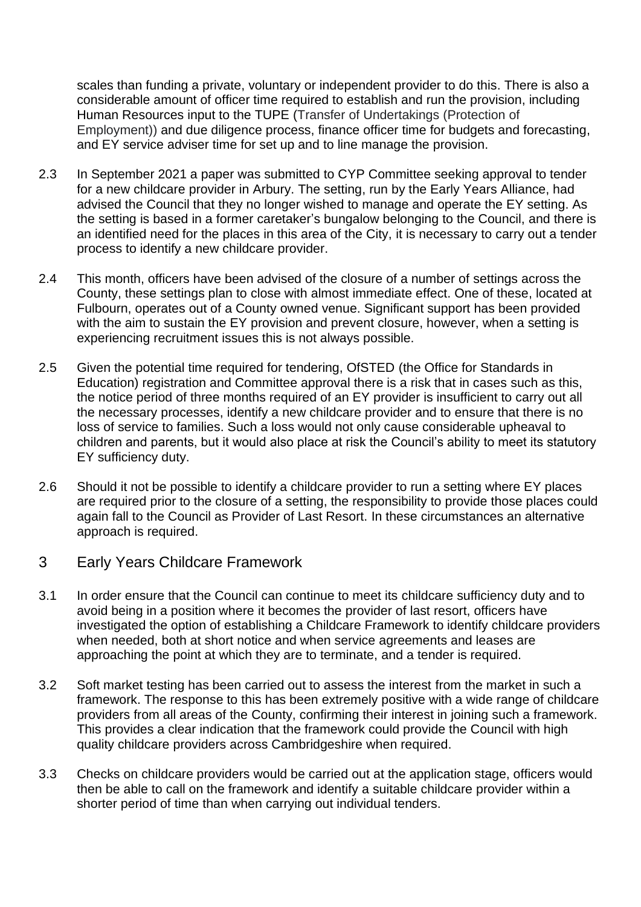scales than funding a private, voluntary or independent provider to do this. There is also a considerable amount of officer time required to establish and run the provision, including Human Resources input to the TUPE (Transfer of Undertakings (Protection of Employment)) and due diligence process, finance officer time for budgets and forecasting, and EY service adviser time for set up and to line manage the provision.

- 2.3 In September 2021 a paper was submitted to CYP Committee seeking approval to tender for a new childcare provider in Arbury. The setting, run by the Early Years Alliance, had advised the Council that they no longer wished to manage and operate the EY setting. As the setting is based in a former caretaker's bungalow belonging to the Council, and there is an identified need for the places in this area of the City, it is necessary to carry out a tender process to identify a new childcare provider.
- 2.4 This month, officers have been advised of the closure of a number of settings across the County, these settings plan to close with almost immediate effect. One of these, located at Fulbourn, operates out of a County owned venue. Significant support has been provided with the aim to sustain the EY provision and prevent closure, however, when a setting is experiencing recruitment issues this is not always possible.
- 2.5 Given the potential time required for tendering, OfSTED (the Office for Standards in Education) registration and Committee approval there is a risk that in cases such as this, the notice period of three months required of an EY provider is insufficient to carry out all the necessary processes, identify a new childcare provider and to ensure that there is no loss of service to families. Such a loss would not only cause considerable upheaval to children and parents, but it would also place at risk the Council's ability to meet its statutory EY sufficiency duty.
- 2.6 Should it not be possible to identify a childcare provider to run a setting where EY places are required prior to the closure of a setting, the responsibility to provide those places could again fall to the Council as Provider of Last Resort. In these circumstances an alternative approach is required.
- 3 Early Years Childcare Framework
- 3.1 In order ensure that the Council can continue to meet its childcare sufficiency duty and to avoid being in a position where it becomes the provider of last resort, officers have investigated the option of establishing a Childcare Framework to identify childcare providers when needed, both at short notice and when service agreements and leases are approaching the point at which they are to terminate, and a tender is required.
- 3.2 Soft market testing has been carried out to assess the interest from the market in such a framework. The response to this has been extremely positive with a wide range of childcare providers from all areas of the County, confirming their interest in joining such a framework. This provides a clear indication that the framework could provide the Council with high quality childcare providers across Cambridgeshire when required.
- 3.3 Checks on childcare providers would be carried out at the application stage, officers would then be able to call on the framework and identify a suitable childcare provider within a shorter period of time than when carrying out individual tenders.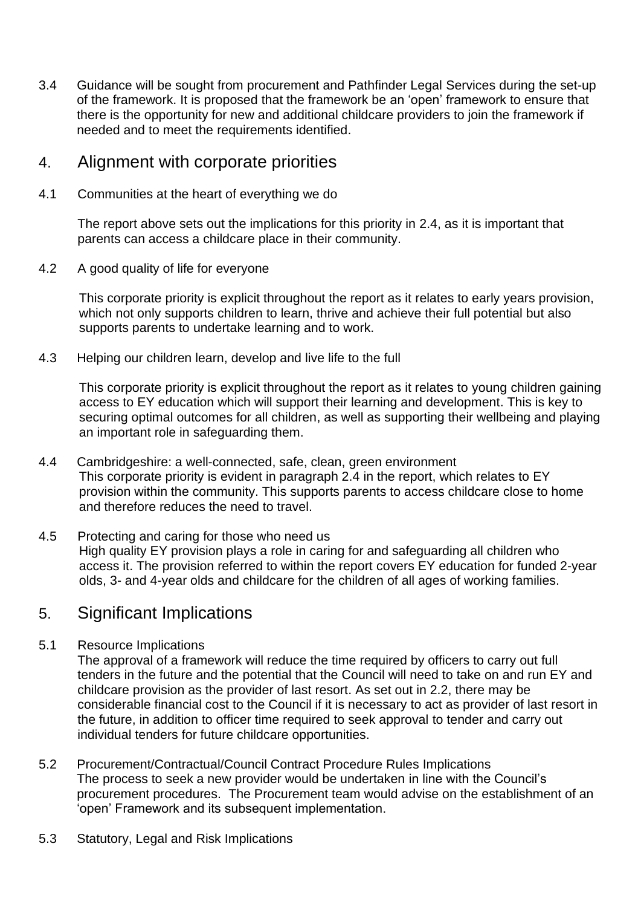3.4 Guidance will be sought from procurement and Pathfinder Legal Services during the set-up of the framework. It is proposed that the framework be an 'open' framework to ensure that there is the opportunity for new and additional childcare providers to join the framework if needed and to meet the requirements identified.

### 4. Alignment with corporate priorities

4.1 Communities at the heart of everything we do

The report above sets out the implications for this priority in 2.4, as it is important that parents can access a childcare place in their community.

4.2 A good quality of life for everyone

This corporate priority is explicit throughout the report as it relates to early years provision, which not only supports children to learn, thrive and achieve their full potential but also supports parents to undertake learning and to work.

4.3 Helping our children learn, develop and live life to the full

This corporate priority is explicit throughout the report as it relates to young children gaining access to EY education which will support their learning and development. This is key to securing optimal outcomes for all children, as well as supporting their wellbeing and playing an important role in safeguarding them.

- 4.4 Cambridgeshire: a well-connected, safe, clean, green environment This corporate priority is evident in paragraph 2.4 in the report, which relates to EY provision within the community. This supports parents to access childcare close to home and therefore reduces the need to travel.
- 4.5 Protecting and caring for those who need us High quality EY provision plays a role in caring for and safeguarding all children who access it. The provision referred to within the report covers EY education for funded 2-year olds, 3- and 4-year olds and childcare for the children of all ages of working families.

### 5. Significant Implications

5.1 Resource Implications

The approval of a framework will reduce the time required by officers to carry out full tenders in the future and the potential that the Council will need to take on and run EY and childcare provision as the provider of last resort. As set out in 2.2, there may be considerable financial cost to the Council if it is necessary to act as provider of last resort in the future, in addition to officer time required to seek approval to tender and carry out individual tenders for future childcare opportunities.

- 5.2 Procurement/Contractual/Council Contract Procedure Rules Implications The process to seek a new provider would be undertaken in line with the Council's procurement procedures. The Procurement team would advise on the establishment of an 'open' Framework and its subsequent implementation.
- 5.3 Statutory, Legal and Risk Implications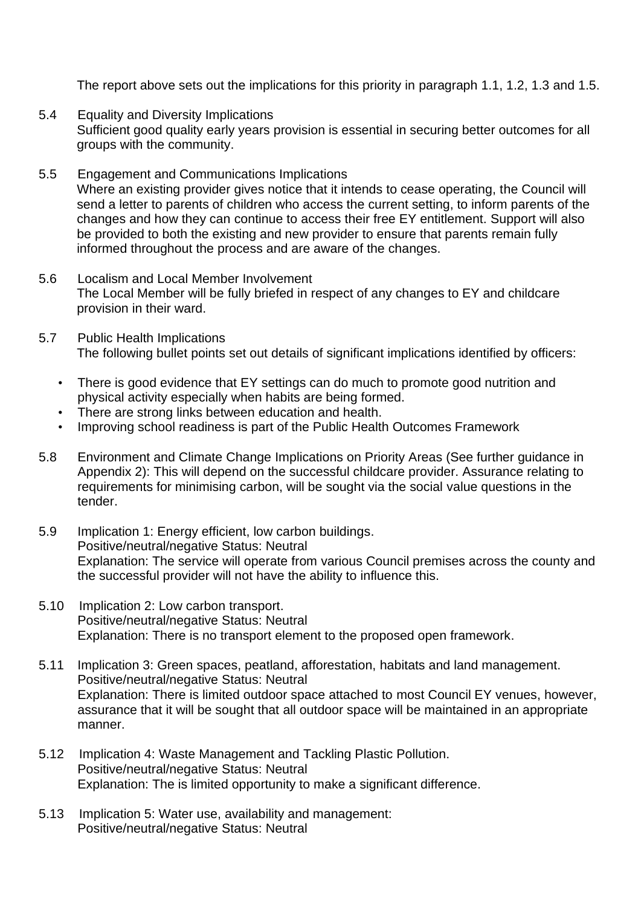The report above sets out the implications for this priority in paragraph 1.1, 1.2, 1.3 and 1.5.

- 5.4 Equality and Diversity Implications Sufficient good quality early years provision is essential in securing better outcomes for all groups with the community.
- 5.5 Engagement and Communications Implications Where an existing provider gives notice that it intends to cease operating, the Council will send a letter to parents of children who access the current setting, to inform parents of the changes and how they can continue to access their free EY entitlement. Support will also be provided to both the existing and new provider to ensure that parents remain fully informed throughout the process and are aware of the changes.
- 5.6 Localism and Local Member Involvement The Local Member will be fully briefed in respect of any changes to EY and childcare provision in their ward.
- 5.7 Public Health Implications The following bullet points set out details of significant implications identified by officers:
	- There is good evidence that EY settings can do much to promote good nutrition and physical activity especially when habits are being formed.
	- There are strong links between education and health.
	- Improving school readiness is part of the Public Health Outcomes Framework
- 5.8 Environment and Climate Change Implications on Priority Areas (See further guidance in Appendix 2): This will depend on the successful childcare provider. Assurance relating to requirements for minimising carbon, will be sought via the social value questions in the tender.
- 5.9 Implication 1: Energy efficient, low carbon buildings. Positive/neutral/negative Status: Neutral Explanation: The service will operate from various Council premises across the county and the successful provider will not have the ability to influence this.
- 5.10 Implication 2: Low carbon transport. Positive/neutral/negative Status: Neutral Explanation: There is no transport element to the proposed open framework.
- 5.11 Implication 3: Green spaces, peatland, afforestation, habitats and land management. Positive/neutral/negative Status: Neutral Explanation: There is limited outdoor space attached to most Council EY venues, however, assurance that it will be sought that all outdoor space will be maintained in an appropriate manner.
- 5.12 Implication 4: Waste Management and Tackling Plastic Pollution. Positive/neutral/negative Status: Neutral Explanation: The is limited opportunity to make a significant difference.
- 5.13 Implication 5: Water use, availability and management: Positive/neutral/negative Status: Neutral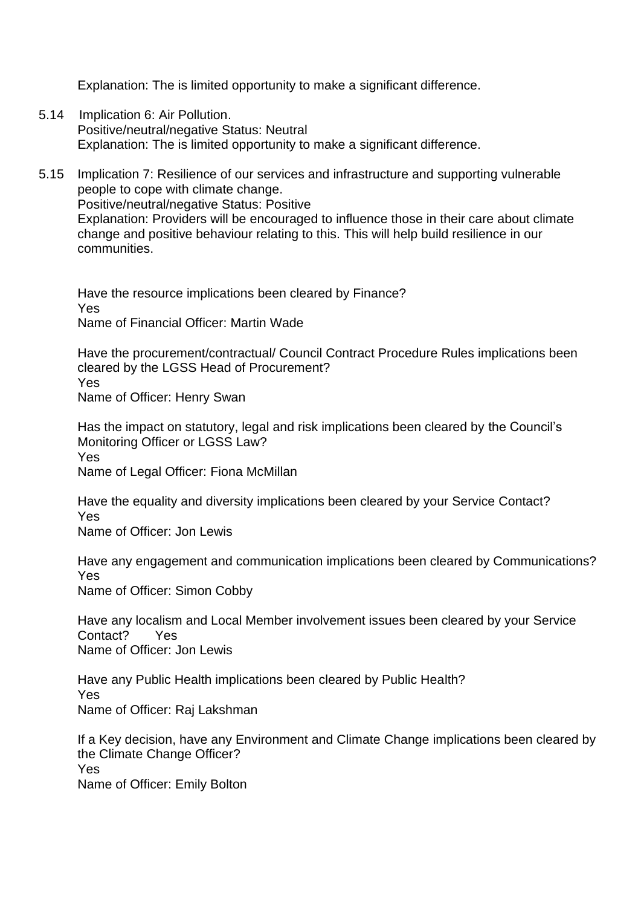Explanation: The is limited opportunity to make a significant difference.

- 5.14 Implication 6: Air Pollution. Positive/neutral/negative Status: Neutral Explanation: The is limited opportunity to make a significant difference.
- 5.15 Implication 7: Resilience of our services and infrastructure and supporting vulnerable people to cope with climate change. Positive/neutral/negative Status: Positive Explanation: Providers will be encouraged to influence those in their care about climate change and positive behaviour relating to this. This will help build resilience in our communities.

Have the resource implications been cleared by Finance? Yes Name of Financial Officer: Martin Wade

Have the procurement/contractual/ Council Contract Procedure Rules implications been cleared by the LGSS Head of Procurement? Yes Name of Officer: Henry Swan

Has the impact on statutory, legal and risk implications been cleared by the Council's Monitoring Officer or LGSS Law? Yes Name of Legal Officer: Fiona McMillan

Have the equality and diversity implications been cleared by your Service Contact? Yes Name of Officer: Jon Lewis

Have any engagement and communication implications been cleared by Communications? Yes Name of Officer: Simon Cobby

Have any localism and Local Member involvement issues been cleared by your Service Contact? Yes Name of Officer: Jon Lewis

Have any Public Health implications been cleared by Public Health? Yes Name of Officer: Raj Lakshman

If a Key decision, have any Environment and Climate Change implications been cleared by the Climate Change Officer? Yes Name of Officer: Emily Bolton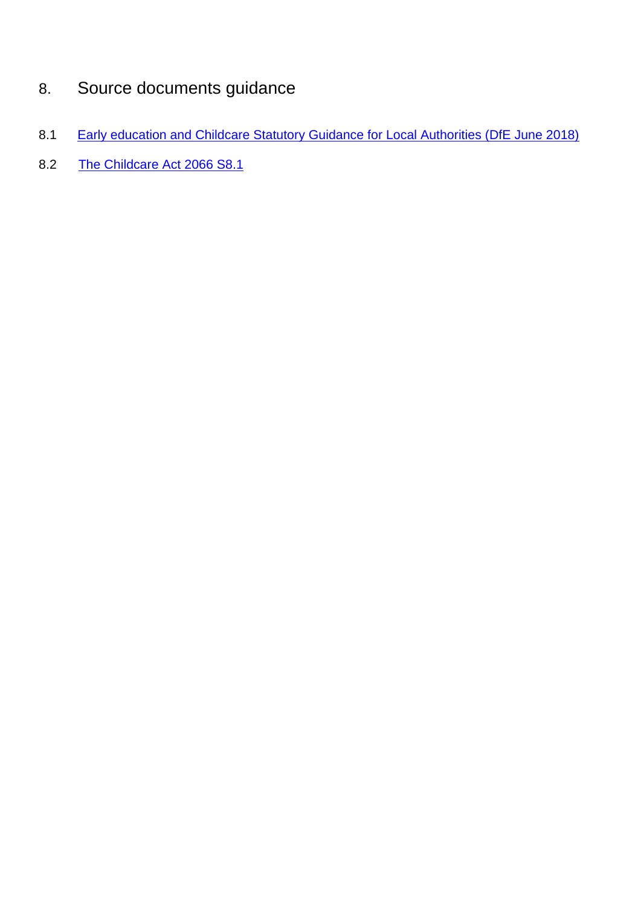# 8. Source documents guidance

- 8.1 [Early education and Childcare Statutory Guidance for Local Authorities \(DfE June 2018\)](https://assets.publishing.service.gov.uk/government/uploads/system/uploads/attachment_data/file/718179/Early_education_and_childcare-statutory_guidance.pdf)
- 8.2 [The Childcare Act 2066 S8.1](https://www.legislation.gov.uk/ukpga/2006/21/pdfs/ukpga_20060021_en.pdf)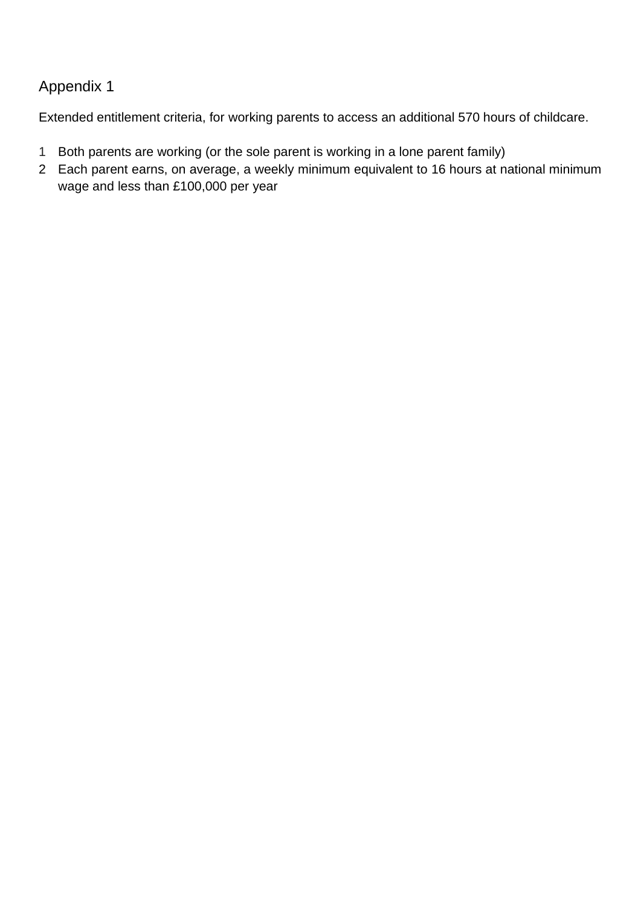### Appendix 1

Extended entitlement criteria, for working parents to access an additional 570 hours of childcare.

- 1 Both parents are working (or the sole parent is working in a lone parent family)
- 2 Each parent earns, on average, a weekly minimum equivalent to 16 hours at national minimum wage and less than £100,000 per year